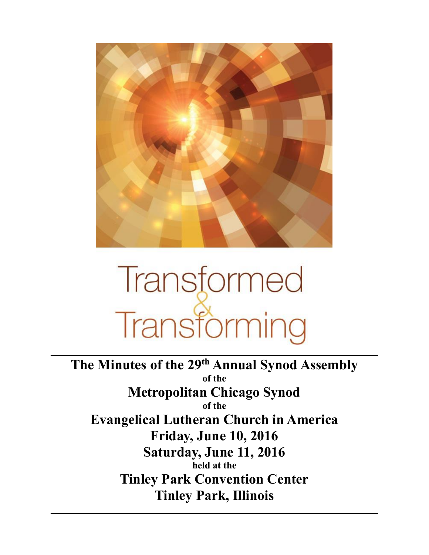

# Transformed Transforming

 $\mathcal{L}_\text{max} = \mathcal{L}_\text{max} = \mathcal{L}_\text{max} = \mathcal{L}_\text{max} = \mathcal{L}_\text{max} = \mathcal{L}_\text{max} = \mathcal{L}_\text{max} = \mathcal{L}_\text{max} = \mathcal{L}_\text{max} = \mathcal{L}_\text{max} = \mathcal{L}_\text{max} = \mathcal{L}_\text{max} = \mathcal{L}_\text{max} = \mathcal{L}_\text{max} = \mathcal{L}_\text{max} = \mathcal{L}_\text{max} = \mathcal{L}_\text{max} = \mathcal{L}_\text{max} = \mathcal{$ 

**The Minutes of the 29 th Annual Synod Assembly of the Metropolitan Chicago Synod of the Evangelical Lutheran Church in America Friday, June 10, 2016 Saturday, June 11, 2016 held at the Tinley Park Convention Center Tinley Park, Illinois**

 $\mathcal{L}_\text{max} = \mathcal{L}_\text{max} = \mathcal{L}_\text{max} = \mathcal{L}_\text{max} = \mathcal{L}_\text{max} = \mathcal{L}_\text{max} = \mathcal{L}_\text{max} = \mathcal{L}_\text{max} = \mathcal{L}_\text{max} = \mathcal{L}_\text{max} = \mathcal{L}_\text{max} = \mathcal{L}_\text{max} = \mathcal{L}_\text{max} = \mathcal{L}_\text{max} = \mathcal{L}_\text{max} = \mathcal{L}_\text{max} = \mathcal{L}_\text{max} = \mathcal{L}_\text{max} = \mathcal{$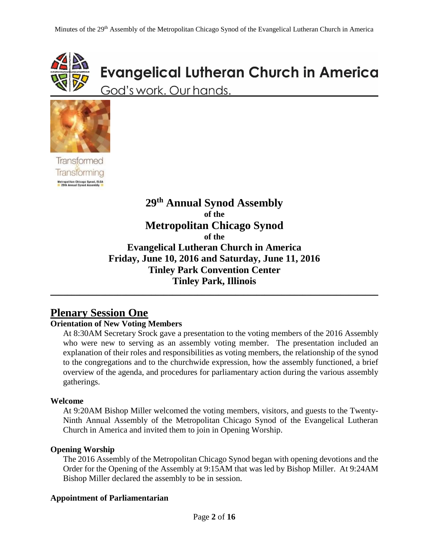

# **Evangelical Lutheran Church in America**

God's work. Our hands.



**Transformed Transforming** Metropolitan Chicago Synod, ELCA<br>- 29th Annual Synod Assembly

# **29 th Annual Synod Assembly of the Metropolitan Chicago Synod of the Evangelical Lutheran Church in America Friday, June 10, 2016 and Saturday, June 11, 2016 Tinley Park Convention Center Tinley Park, Illinois** \_\_\_\_\_\_\_\_\_\_\_\_\_\_\_\_\_\_\_\_\_\_\_\_\_\_\_\_\_\_\_\_\_\_\_\_\_\_\_\_\_\_\_\_\_\_\_\_\_\_\_\_\_\_\_\_\_\_\_\_\_\_\_\_\_\_\_\_\_\_\_\_\_\_\_\_\_\_

# **Plenary Session One**

#### **Orientation of New Voting Members**

At 8:30AM Secretary Srock gave a presentation to the voting members of the 2016 Assembly who were new to serving as an assembly voting member. The presentation included an explanation of their roles and responsibilities as voting members, the relationship of the synod to the congregations and to the churchwide expression, how the assembly functioned, a brief overview of the agenda, and procedures for parliamentary action during the various assembly gatherings.

#### **Welcome**

At 9:20AM Bishop Miller welcomed the voting members, visitors, and guests to the Twenty-Ninth Annual Assembly of the Metropolitan Chicago Synod of the Evangelical Lutheran Church in America and invited them to join in Opening Worship.

#### **Opening Worship**

The 2016 Assembly of the Metropolitan Chicago Synod began with opening devotions and the Order for the Opening of the Assembly at 9:15AM that was led by Bishop Miller. At 9:24AM Bishop Miller declared the assembly to be in session.

#### **Appointment of Parliamentarian**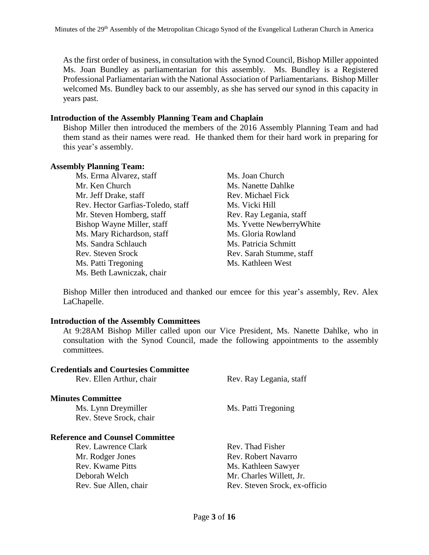As the first order of business, in consultation with the Synod Council, Bishop Miller appointed Ms. Joan Bundley as parliamentarian for this assembly. Ms. Bundley is a Registered Professional Parliamentarian with the National Association of Parliamentarians. Bishop Miller welcomed Ms. Bundley back to our assembly, as she has served our synod in this capacity in years past.

#### **Introduction of the Assembly Planning Team and Chaplain**

Bishop Miller then introduced the members of the 2016 Assembly Planning Team and had them stand as their names were read. He thanked them for their hard work in preparing for this year's assembly.

#### **Assembly Planning Team:**

Ms. Erma Alvarez, staff Ms. Joan Church Mr. Ken Church Ms. Nanette Dahlke Mr. Jeff Drake, staff Rev. Michael Fick Rev. Hector Garfias-Toledo, staff Ms. Vicki Hill Mr. Steven Homberg, staff Rev. Ray Legania, staff Bishop Wayne Miller, staff Ms. Yvette Newberry White Ms. Mary Richardson, staff Ms. Gloria Rowland Ms. Sandra Schlauch Ms. Patricia Schmitt Rev. Steven Srock Rev. Sarah Stumme, staff Ms. Patti Tregoning Ms. Kathleen West Ms. Beth Lawniczak, chair

Bishop Miller then introduced and thanked our emcee for this year's assembly, Rev. Alex LaChapelle.

#### **Introduction of the Assembly Committees**

**Credentials and Courtesies Committee**

At 9:28AM Bishop Miller called upon our Vice President, Ms. Nanette Dahlke, who in consultation with the Synod Council, made the following appointments to the assembly committees.

| Urtuthinis anu Courttsits Committee    |                               |
|----------------------------------------|-------------------------------|
| Rev. Ellen Arthur, chair               | Rev. Ray Legania, staff       |
| <b>Minutes Committee</b>               |                               |
| Ms. Lynn Dreymiller                    | Ms. Patti Tregoning           |
| Rev. Steve Srock, chair                |                               |
| <b>Reference and Counsel Committee</b> |                               |
| Rev. Lawrence Clark                    | Rev. Thad Fisher              |
| Mr. Rodger Jones                       | Rev. Robert Navarro           |
| Rev. Kwame Pitts                       | Ms. Kathleen Sawyer           |
| Deborah Welch                          | Mr. Charles Willett, Jr.      |
| Rev. Sue Allen, chair                  | Rev. Steven Srock, ex-officio |
|                                        |                               |
|                                        |                               |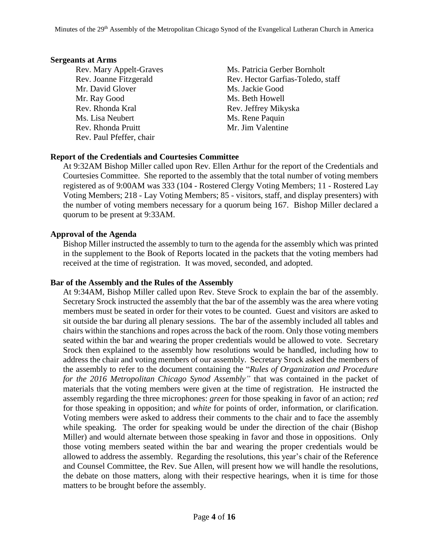#### **Sergeants at Arms**

Mr. David Glover Ms. Jackie Good Mr. Ray Good Ms. Beth Howell Rev. Rhonda Kral Rev. Jeffrey Mikyska Ms. Lisa Neubert Ms. Rene Paquin Rev. Rhonda Pruitt Mr. Jim Valentine Rev. Paul Pfeffer, chair

Rev. Mary Appelt-Graves Ms. Patricia Gerber Bornholt Rev. Joanne Fitzgerald Rev. Hector Garfias-Toledo, staff

#### **Report of the Credentials and Courtesies Committee**

At 9:32AM Bishop Miller called upon Rev. Ellen Arthur for the report of the Credentials and Courtesies Committee. She reported to the assembly that the total number of voting members registered as of 9:00AM was 333 (104 - Rostered Clergy Voting Members; 11 - Rostered Lay Voting Members; 218 - Lay Voting Members; 85 - visitors, staff, and display presenters) with the number of voting members necessary for a quorum being 167. Bishop Miller declared a quorum to be present at 9:33AM.

#### **Approval of the Agenda**

Bishop Miller instructed the assembly to turn to the agenda for the assembly which was printed in the supplement to the Book of Reports located in the packets that the voting members had received at the time of registration. It was moved, seconded, and adopted.

#### **Bar of the Assembly and the Rules of the Assembly**

At 9:34AM, Bishop Miller called upon Rev. Steve Srock to explain the bar of the assembly. Secretary Srock instructed the assembly that the bar of the assembly was the area where voting members must be seated in order for their votes to be counted. Guest and visitors are asked to sit outside the bar during all plenary sessions. The bar of the assembly included all tables and chairs within the stanchions and ropes across the back of the room. Only those voting members seated within the bar and wearing the proper credentials would be allowed to vote. Secretary Srock then explained to the assembly how resolutions would be handled, including how to address the chair and voting members of our assembly. Secretary Srock asked the members of the assembly to refer to the document containing the "*Rules of Organization and Procedure for the 2016 Metropolitan Chicago Synod Assembly"* that was contained in the packet of materials that the voting members were given at the time of registration. He instructed the assembly regarding the three microphones: *green* for those speaking in favor of an action; *red* for those speaking in opposition; and *white* for points of order, information, or clarification. Voting members were asked to address their comments to the chair and to face the assembly while speaking. The order for speaking would be under the direction of the chair (Bishop Miller) and would alternate between those speaking in favor and those in oppositions. Only those voting members seated within the bar and wearing the proper credentials would be allowed to address the assembly. Regarding the resolutions, this year's chair of the Reference and Counsel Committee, the Rev. Sue Allen, will present how we will handle the resolutions, the debate on those matters, along with their respective hearings, when it is time for those matters to be brought before the assembly.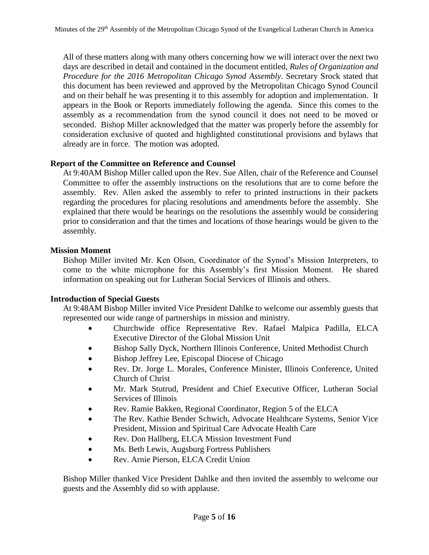All of these matters along with many others concerning how we will interact over the next two days are described in detail and contained in the document entitled, *Rules of Organization and Procedure for the 2016 Metropolitan Chicago Synod Assembly*. Secretary Srock stated that this document has been reviewed and approved by the Metropolitan Chicago Synod Council and on their behalf he was presenting it to this assembly for adoption and implementation. It appears in the Book or Reports immediately following the agenda. Since this comes to the assembly as a recommendation from the synod council it does not need to be moved or seconded. Bishop Miller acknowledged that the matter was properly before the assembly for consideration exclusive of quoted and highlighted constitutional provisions and bylaws that already are in force. The motion was adopted.

#### **Report of the Committee on Reference and Counsel**

At 9:40AM Bishop Miller called upon the Rev. Sue Allen, chair of the Reference and Counsel Committee to offer the assembly instructions on the resolutions that are to come before the assembly. Rev. Allen asked the assembly to refer to printed instructions in their packets regarding the procedures for placing resolutions and amendments before the assembly. She explained that there would be hearings on the resolutions the assembly would be considering prior to consideration and that the times and locations of those hearings would be given to the assembly.

#### **Mission Moment**

Bishop Miller invited Mr. Ken Olson, Coordinator of the Synod's Mission Interpreters, to come to the white microphone for this Assembly's first Mission Moment. He shared information on speaking out for Lutheran Social Services of Illinois and others.

#### **Introduction of Special Guests**

At 9:48AM Bishop Miller invited Vice President Dahlke to welcome our assembly guests that represented our wide range of partnerships in mission and ministry.

- Churchwide office Representative Rev. Rafael Malpica Padilla, ELCA Executive Director of the Global Mission Unit
- Bishop Sally Dyck, Northern Illinois Conference, United Methodist Church
- Bishop Jeffrey Lee, Episcopal Diocese of Chicago
- Rev. Dr. Jorge L. Morales, Conference Minister, Illinois Conference, United Church of Christ
- Mr. Mark Stutrud, President and Chief Executive Officer, Lutheran Social Services of Illinois
- Rev. Ramie Bakken, Regional Coordinator, Region 5 of the ELCA
- The Rev. Kathie Bender Schwich, Advocate Healthcare Systems, Senior Vice President, Mission and Spiritual Care Advocate Health Care
- Rev. Don Hallberg, ELCA Mission Investment Fund
- Ms. Beth Lewis, Augsburg Fortress Publishers
- Rev. Arnie Pierson, ELCA Credit Union

Bishop Miller thanked Vice President Dahlke and then invited the assembly to welcome our guests and the Assembly did so with applause.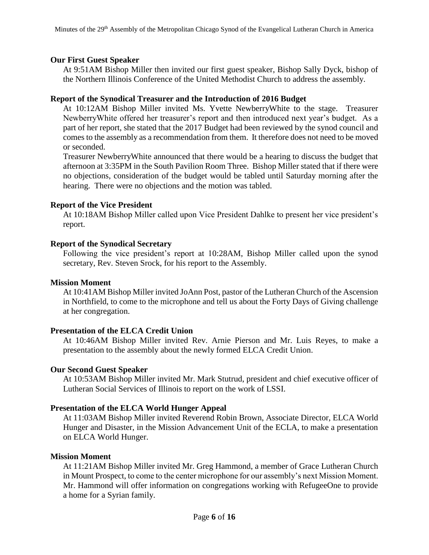#### **Our First Guest Speaker**

At 9:51AM Bishop Miller then invited our first guest speaker, Bishop Sally Dyck, bishop of the Northern Illinois Conference of the United Methodist Church to address the assembly.

#### **Report of the Synodical Treasurer and the Introduction of 2016 Budget**

At 10:12AM Bishop Miller invited Ms. Yvette NewberryWhite to the stage. Treasurer NewberryWhite offered her treasurer's report and then introduced next year's budget. As a part of her report, she stated that the 2017 Budget had been reviewed by the synod council and comes to the assembly as a recommendation from them. It therefore does not need to be moved or seconded.

Treasurer NewberryWhite announced that there would be a hearing to discuss the budget that afternoon at 3:35PM in the South Pavilion Room Three. Bishop Miller stated that if there were no objections, consideration of the budget would be tabled until Saturday morning after the hearing. There were no objections and the motion was tabled.

#### **Report of the Vice President**

At 10:18AM Bishop Miller called upon Vice President Dahlke to present her vice president's report.

#### **Report of the Synodical Secretary**

Following the vice president's report at 10:28AM, Bishop Miller called upon the synod secretary, Rev. Steven Srock, for his report to the Assembly.

#### **Mission Moment**

At 10:41AM Bishop Miller invited JoAnn Post, pastor of the Lutheran Church of the Ascension in Northfield, to come to the microphone and tell us about the Forty Days of Giving challenge at her congregation.

#### **Presentation of the ELCA Credit Union**

At 10:46AM Bishop Miller invited Rev. Arnie Pierson and Mr. Luis Reyes, to make a presentation to the assembly about the newly formed ELCA Credit Union.

#### **Our Second Guest Speaker**

At 10:53AM Bishop Miller invited Mr. Mark Stutrud, president and chief executive officer of Lutheran Social Services of Illinois to report on the work of LSSI.

#### **Presentation of the ELCA World Hunger Appeal**

At 11:03AM Bishop Miller invited Reverend Robin Brown, Associate Director, ELCA World Hunger and Disaster, in the Mission Advancement Unit of the ECLA, to make a presentation on ELCA World Hunger.

#### **Mission Moment**

At 11:21AM Bishop Miller invited Mr. Greg Hammond, a member of Grace Lutheran Church in Mount Prospect, to come to the center microphone for our assembly's next Mission Moment. Mr. Hammond will offer information on congregations working with RefugeeOne to provide a home for a Syrian family.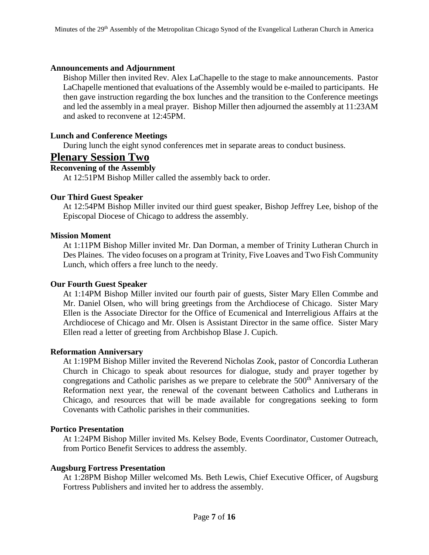#### **Announcements and Adjournment**

Bishop Miller then invited Rev. Alex LaChapelle to the stage to make announcements. Pastor LaChapelle mentioned that evaluations of the Assembly would be e-mailed to participants. He then gave instruction regarding the box lunches and the transition to the Conference meetings and led the assembly in a meal prayer. Bishop Miller then adjourned the assembly at 11:23AM and asked to reconvene at 12:45PM.

#### **Lunch and Conference Meetings**

During lunch the eight synod conferences met in separate areas to conduct business.

### **Plenary Session Two**

#### **Reconvening of the Assembly**

At 12:51PM Bishop Miller called the assembly back to order.

#### **Our Third Guest Speaker**

At 12:54PM Bishop Miller invited our third guest speaker, Bishop Jeffrey Lee, bishop of the Episcopal Diocese of Chicago to address the assembly.

#### **Mission Moment**

At 1:11PM Bishop Miller invited Mr. Dan Dorman, a member of Trinity Lutheran Church in Des Plaines. The video focuses on a program at Trinity, Five Loaves and Two Fish Community Lunch, which offers a free lunch to the needy.

#### **Our Fourth Guest Speaker**

At 1:14PM Bishop Miller invited our fourth pair of guests, Sister Mary Ellen Commbe and Mr. Daniel Olsen, who will bring greetings from the Archdiocese of Chicago. Sister Mary Ellen is the Associate Director for the Office of Ecumenical and Interreligious Affairs at the Archdiocese of Chicago and Mr. Olsen is Assistant Director in the same office. Sister Mary Ellen read a letter of greeting from Archbishop Blase J. Cupich.

#### **Reformation Anniversary**

At 1:19PM Bishop Miller invited the Reverend Nicholas Zook, pastor of Concordia Lutheran Church in Chicago to speak about resources for dialogue, study and prayer together by congregations and Catholic parishes as we prepare to celebrate the 500<sup>th</sup> Anniversary of the Reformation next year, the renewal of the covenant between Catholics and Lutherans in Chicago, and resources that will be made available for congregations seeking to form Covenants with Catholic parishes in their communities.

#### **Portico Presentation**

At 1:24PM Bishop Miller invited Ms. Kelsey Bode, Events Coordinator, Customer Outreach, from Portico Benefit Services to address the assembly.

#### **Augsburg Fortress Presentation**

At 1:28PM Bishop Miller welcomed Ms. Beth Lewis, Chief Executive Officer, of Augsburg Fortress Publishers and invited her to address the assembly.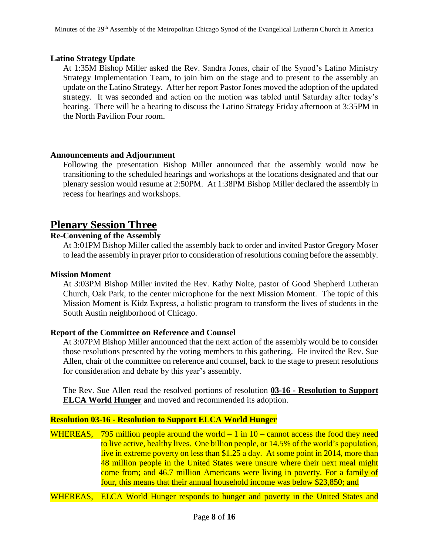#### **Latino Strategy Update**

At 1:35M Bishop Miller asked the Rev. Sandra Jones, chair of the Synod's Latino Ministry Strategy Implementation Team, to join him on the stage and to present to the assembly an update on the Latino Strategy. After her report Pastor Jones moved the adoption of the updated strategy. It was seconded and action on the motion was tabled until Saturday after today's hearing. There will be a hearing to discuss the Latino Strategy Friday afternoon at 3:35PM in the North Pavilion Four room.

#### **Announcements and Adjournment**

Following the presentation Bishop Miller announced that the assembly would now be transitioning to the scheduled hearings and workshops at the locations designated and that our plenary session would resume at 2:50PM. At 1:38PM Bishop Miller declared the assembly in recess for hearings and workshops.

# **Plenary Session Three**

#### **Re-Convening of the Assembly**

At 3:01PM Bishop Miller called the assembly back to order and invited Pastor Gregory Moser to lead the assembly in prayer prior to consideration of resolutions coming before the assembly.

#### **Mission Moment**

At 3:03PM Bishop Miller invited the Rev. Kathy Nolte, pastor of Good Shepherd Lutheran Church, Oak Park, to the center microphone for the next Mission Moment. The topic of this Mission Moment is Kidz Express, a holistic program to transform the lives of students in the South Austin neighborhood of Chicago.

#### **Report of the Committee on Reference and Counsel**

At 3:07PM Bishop Miller announced that the next action of the assembly would be to consider those resolutions presented by the voting members to this gathering. He invited the Rev. Sue Allen, chair of the committee on reference and counsel, back to the stage to present resolutions for consideration and debate by this year's assembly.

The Rev. Sue Allen read the resolved portions of resolution **03-16 - Resolution to Support ELCA World Hunger** and moved and recommended its adoption.

#### **Resolution 03-16 - Resolution to Support ELCA World Hunger**

WHEREAS, 795 million people around the world  $-1$  in  $10 -$  cannot access the food they need to live active, healthy lives. One billion people, or 14.5% of the world's population, live in extreme poverty on less than \$1.25 a day. At some point in 2014, more than 48 million people in the United States were unsure where their next meal might come from; and 46.7 million Americans were living in poverty. For a family of four, this means that their annual household income was below \$23,850; and

WHEREAS, ELCA World Hunger responds to hunger and poverty in the United States and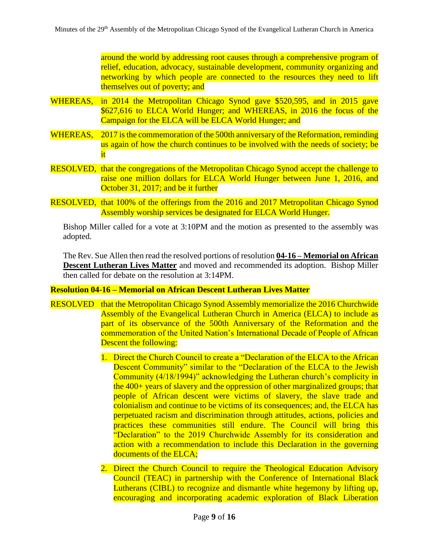around the world by addressing root causes through a comprehensive program of relief, education, advocacy, sustainable development, community organizing and networking by which people are connected to the resources they need to lift themselves out of poverty; and

- WHEREAS, in 2014 the Metropolitan Chicago Synod gave \$520,595, and in 2015 gave \$627,616 to ELCA World Hunger; and WHEREAS, in 2016 the focus of the Campaign for the ELCA will be ELCA World Hunger; and
- WHEREAS, 2017 is the commemoration of the 500th anniversary of the Reformation, reminding us again of how the church continues to be involved with the needs of society; be it
- RESOLVED, that the congregations of the Metropolitan Chicago Synod accept the challenge to raise one million dollars for ELCA World Hunger between June 1, 2016, and October 31, 2017; and be it further
- RESOLVED, that 100% of the offerings from the 2016 and 2017 Metropolitan Chicago Synod Assembly worship services be designated for ELCA World Hunger.

Bishop Miller called for a vote at 3:10PM and the motion as presented to the assembly was adopted.

The Rev. Sue Allen then read the resolved portions of resolution **04-16 – Memorial on African Descent Lutheran Lives Matter** and moved and recommended its adoption. Bishop Miller then called for debate on the resolution at 3:14PM.

#### **Resolution 04-16 – Memorial on African Descent Lutheran Lives Matter**

- RESOLVED that the Metropolitan Chicago Synod Assembly memorialize the 2016 Churchwide Assembly of the Evangelical Lutheran Church in America (ELCA) to include as part of its observance of the 500th Anniversary of the Reformation and the commemoration of the United Nation's International Decade of People of African Descent the following:
	- 1. Direct the Church Council to create a "Declaration of the ELCA to the African Descent Community" similar to the "Declaration of the ELCA to the Jewish Community (4/18/1994)" acknowledging the Lutheran church's complicity in the 400+ years of slavery and the oppression of other marginalized groups; that people of African descent were victims of slavery, the slave trade and colonialism and continue to be victims of its consequences; and, the ELCA has perpetuated racism and discrimination through attitudes, actions, policies and practices these communities still endure. The Council will bring this "Declaration" to the 2019 Churchwide Assembly for its consideration and action with a recommendation to include this Declaration in the governing documents of the ELCA;
	- 2. Direct the Church Council to require the Theological Education Advisory Council (TEAC) in partnership with the Conference of International Black Lutherans (CIBL) to recognize and dismantle white hegemony by lifting up, encouraging and incorporating academic exploration of Black Liberation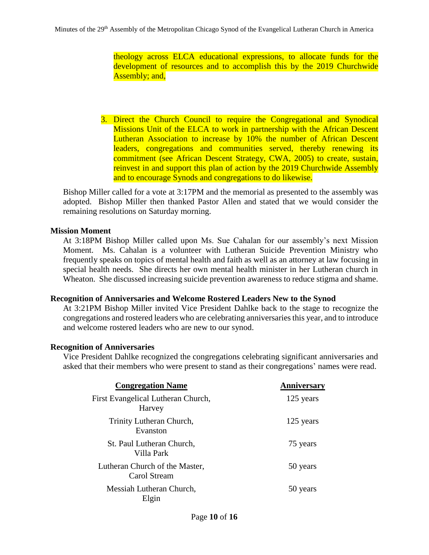theology across ELCA educational expressions, to allocate funds for the development of resources and to accomplish this by the 2019 Churchwide Assembly; and,

3. Direct the Church Council to require the Congregational and Synodical Missions Unit of the ELCA to work in partnership with the African Descent Lutheran Association to increase by 10% the number of African Descent leaders, congregations and communities served, thereby renewing its commitment (see African Descent Strategy, CWA, 2005) to create, sustain, reinvest in and support this plan of action by the 2019 Churchwide Assembly and to encourage Synods and congregations to do likewise.

Bishop Miller called for a vote at 3:17PM and the memorial as presented to the assembly was adopted. Bishop Miller then thanked Pastor Allen and stated that we would consider the remaining resolutions on Saturday morning.

#### **Mission Moment**

At 3:18PM Bishop Miller called upon Ms. Sue Cahalan for our assembly's next Mission Moment. Ms. Cahalan is a volunteer with Lutheran Suicide Prevention Ministry who frequently speaks on topics of mental health and faith as well as an attorney at law focusing in special health needs. She directs her own mental health minister in her Lutheran church in Wheaton. She discussed increasing suicide prevention awareness to reduce stigma and shame.

#### **Recognition of Anniversaries and Welcome Rostered Leaders New to the Synod**

At 3:21PM Bishop Miller invited Vice President Dahlke back to the stage to recognize the congregations and rostered leaders who are celebrating anniversaries this year, and to introduce and welcome rostered leaders who are new to our synod.

#### **Recognition of Anniversaries**

Vice President Dahlke recognized the congregations celebrating significant anniversaries and asked that their members who were present to stand as their congregations' names were read.

| <b>Congregation Name</b>                       | Anniversary |
|------------------------------------------------|-------------|
| First Evangelical Lutheran Church,<br>Harvey   | 125 years   |
| Trinity Lutheran Church,<br>Evanston           | 125 years   |
| St. Paul Lutheran Church,<br>Villa Park        | 75 years    |
| Lutheran Church of the Master,<br>Carol Stream | 50 years    |
| Messiah Lutheran Church,<br>Elgin              | 50 years    |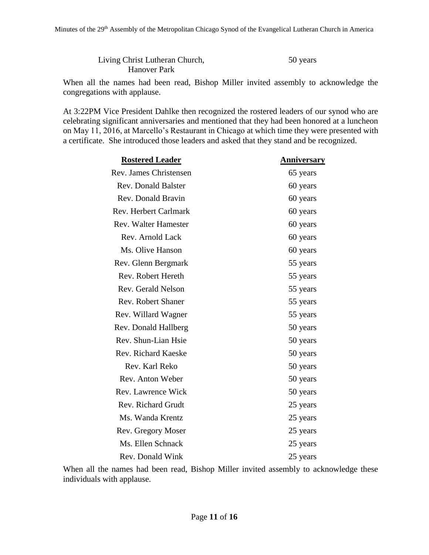| Living Christ Lutheran Church, | 50 years |
|--------------------------------|----------|
| <b>Hanover Park</b>            |          |

When all the names had been read, Bishop Miller invited assembly to acknowledge the congregations with applause.

At 3:22PM Vice President Dahlke then recognized the rostered leaders of our synod who are celebrating significant anniversaries and mentioned that they had been honored at a luncheon on May 11, 2016, at Marcello's Restaurant in Chicago at which time they were presented with a certificate. She introduced those leaders and asked that they stand and be recognized.

| <b>Rostered Leader</b>       | <b>Anniversary</b> |
|------------------------------|--------------------|
| Rev. James Christensen       | 65 years           |
| <b>Rev. Donald Balster</b>   | 60 years           |
| Rev. Donald Bravin           | 60 years           |
| <b>Rev. Herbert Carlmark</b> | 60 years           |
| <b>Rev. Walter Hamester</b>  | 60 years           |
| Rev. Arnold Lack             | 60 years           |
| Ms. Olive Hanson             | 60 years           |
| Rev. Glenn Bergmark          | 55 years           |
| Rev. Robert Hereth           | 55 years           |
| Rev. Gerald Nelson           | 55 years           |
| Rev. Robert Shaner           | 55 years           |
| Rev. Willard Wagner          | 55 years           |
| Rev. Donald Hallberg         | 50 years           |
| Rev. Shun-Lian Hsie          | 50 years           |
| <b>Rev. Richard Kaeske</b>   | 50 years           |
| Rev. Karl Reko               | 50 years           |
| Rev. Anton Weber             | 50 years           |
| Rev. Lawrence Wick           | 50 years           |
| Rev. Richard Grudt           | 25 years           |
| Ms. Wanda Krentz             | 25 years           |
| Rev. Gregory Moser           | 25 years           |
| Ms. Ellen Schnack            | 25 years           |
| Rev. Donald Wink             | 25 years           |

When all the names had been read, Bishop Miller invited assembly to acknowledge these individuals with applause.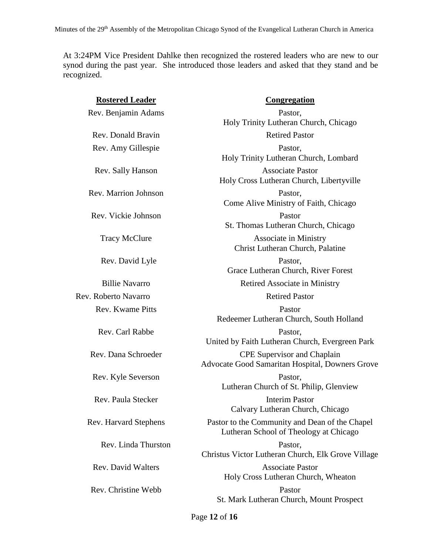At 3:24PM Vice President Dahlke then recognized the rostered leaders who are new to our synod during the past year. She introduced those leaders and asked that they stand and be recognized.

| <b>Rostered Leader</b>       | <b>Congregation</b>                                                                      |
|------------------------------|------------------------------------------------------------------------------------------|
| Rev. Benjamin Adams          | Pastor,<br>Holy Trinity Lutheran Church, Chicago                                         |
| Rev. Donald Bravin           | <b>Retired Pastor</b>                                                                    |
| Rev. Amy Gillespie           | Pastor,<br>Holy Trinity Lutheran Church, Lombard                                         |
| Rev. Sally Hanson            | <b>Associate Pastor</b><br>Holy Cross Lutheran Church, Libertyville                      |
| Rev. Marrion Johnson         | Pastor,<br>Come Alive Ministry of Faith, Chicago                                         |
| Rev. Vickie Johnson          | Pastor<br>St. Thomas Lutheran Church, Chicago                                            |
| <b>Tracy McClure</b>         | <b>Associate in Ministry</b><br>Christ Lutheran Church, Palatine                         |
| Rev. David Lyle              | Pastor,<br>Grace Lutheran Church, River Forest                                           |
| <b>Billie Navarro</b>        | Retired Associate in Ministry                                                            |
| Rev. Roberto Navarro         | <b>Retired Pastor</b>                                                                    |
| Rev. Kwame Pitts             | Pastor<br>Redeemer Lutheran Church, South Holland                                        |
| Rev. Carl Rabbe              | Pastor,<br>United by Faith Lutheran Church, Evergreen Park                               |
| Rev. Dana Schroeder          | <b>CPE Supervisor and Chaplain</b><br>Advocate Good Samaritan Hospital, Downers Grove    |
| Rev. Kyle Severson           | Pastor,<br>Lutheran Church of St. Philip, Glenview                                       |
| Rev. Paula Stecker           | <b>Interim Pastor</b><br>Calvary Lutheran Church, Chicago                                |
| <b>Rev. Harvard Stephens</b> | Pastor to the Community and Dean of the Chapel<br>Lutheran School of Theology at Chicago |
| Rev. Linda Thurston          | Pastor,<br>Christus Victor Lutheran Church, Elk Grove Village                            |
| <b>Rev. David Walters</b>    | <b>Associate Pastor</b><br>Holy Cross Lutheran Church, Wheaton                           |
| Rev. Christine Webb          | Pastor<br>St. Mark Lutheran Church, Mount Prospect                                       |
|                              |                                                                                          |

Page **12** of **16**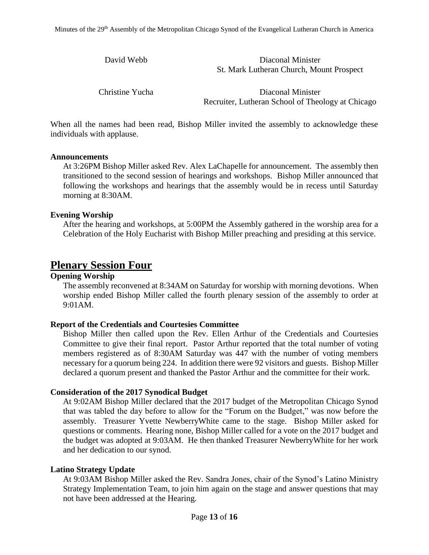| David Webb | Diaconal Minister                        |
|------------|------------------------------------------|
|            | St. Mark Lutheran Church, Mount Prospect |

Christine Yucha Diaconal Minister Recruiter, Lutheran School of Theology at Chicago

When all the names had been read, Bishop Miller invited the assembly to acknowledge these individuals with applause.

#### **Announcements**

At 3:26PM Bishop Miller asked Rev. Alex LaChapelle for announcement. The assembly then transitioned to the second session of hearings and workshops. Bishop Miller announced that following the workshops and hearings that the assembly would be in recess until Saturday morning at 8:30AM.

#### **Evening Worship**

After the hearing and workshops, at 5:00PM the Assembly gathered in the worship area for a Celebration of the Holy Eucharist with Bishop Miller preaching and presiding at this service.

# **Plenary Session Four**

#### **Opening Worship**

The assembly reconvened at 8:34AM on Saturday for worship with morning devotions. When worship ended Bishop Miller called the fourth plenary session of the assembly to order at 9:01AM.

#### **Report of the Credentials and Courtesies Committee**

Bishop Miller then called upon the Rev. Ellen Arthur of the Credentials and Courtesies Committee to give their final report. Pastor Arthur reported that the total number of voting members registered as of 8:30AM Saturday was 447 with the number of voting members necessary for a quorum being 224. In addition there were 92 visitors and guests. Bishop Miller declared a quorum present and thanked the Pastor Arthur and the committee for their work.

#### **Consideration of the 2017 Synodical Budget**

At 9:02AM Bishop Miller declared that the 2017 budget of the Metropolitan Chicago Synod that was tabled the day before to allow for the "Forum on the Budget," was now before the assembly. Treasurer Yvette NewberryWhite came to the stage. Bishop Miller asked for questions or comments. Hearing none, Bishop Miller called for a vote on the 2017 budget and the budget was adopted at 9:03AM. He then thanked Treasurer NewberryWhite for her work and her dedication to our synod.

#### **Latino Strategy Update**

At 9:03AM Bishop Miller asked the Rev. Sandra Jones, chair of the Synod's Latino Ministry Strategy Implementation Team, to join him again on the stage and answer questions that may not have been addressed at the Hearing.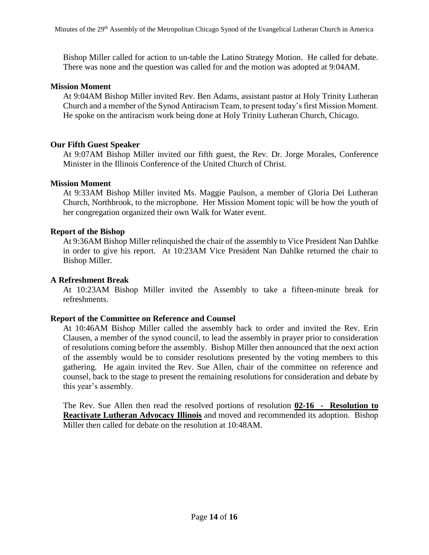Bishop Miller called for action to un-table the Latino Strategy Motion. He called for debate. There was none and the question was called for and the motion was adopted at 9:04AM.

#### **Mission Moment**

At 9:04AM Bishop Miller invited Rev. Ben Adams, assistant pastor at Holy Trinity Lutheran Church and a member of the Synod Antiracism Team, to present today's first Mission Moment. He spoke on the antiracism work being done at Holy Trinity Lutheran Church, Chicago.

#### **Our Fifth Guest Speaker**

At 9:07AM Bishop Miller invited our fifth guest, the Rev. Dr. Jorge Morales, Conference Minister in the Illinois Conference of the United Church of Christ.

#### **Mission Moment**

At 9:33AM Bishop Miller invited Ms. Maggie Paulson, a member of Gloria Dei Lutheran Church, Northbrook, to the microphone. Her Mission Moment topic will be how the youth of her congregation organized their own Walk for Water event.

#### **Report of the Bishop**

At 9:36AM Bishop Miller relinquished the chair of the assembly to Vice President Nan Dahlke in order to give his report. At 10:23AM Vice President Nan Dahlke returned the chair to Bishop Miller.

#### **A Refreshment Break**

At 10:23AM Bishop Miller invited the Assembly to take a fifteen-minute break for refreshments.

#### **Report of the Committee on Reference and Counsel**

At 10:46AM Bishop Miller called the assembly back to order and invited the Rev. Erin Clausen, a member of the synod council, to lead the assembly in prayer prior to consideration of resolutions coming before the assembly. Bishop Miller then announced that the next action of the assembly would be to consider resolutions presented by the voting members to this gathering. He again invited the Rev. Sue Allen, chair of the committee on reference and counsel, back to the stage to present the remaining resolutions for consideration and debate by this year's assembly.

The Rev. Sue Allen then read the resolved portions of resolution **02-16 - Resolution to Reactivate Lutheran Advocacy Illinois** and moved and recommended its adoption. Bishop Miller then called for debate on the resolution at 10:48AM.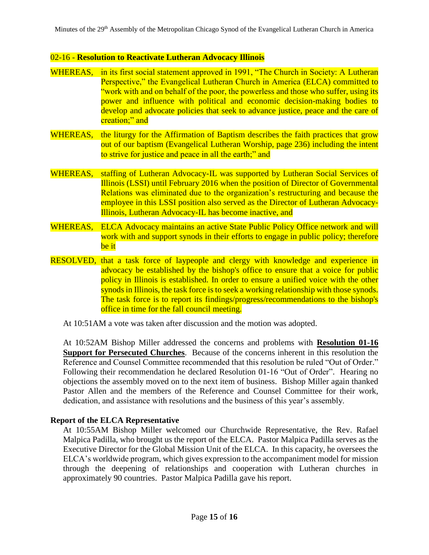#### 02-16 - **Resolution to Reactivate Lutheran Advocacy Illinois**

- WHEREAS, in its first social statement approved in 1991, "The Church in Society: A Lutheran Perspective," the Evangelical Lutheran Church in America (ELCA) committed to "work with and on behalf of the poor, the powerless and those who suffer, using its power and influence with political and economic decision-making bodies to develop and advocate policies that seek to advance justice, peace and the care of creation;" and
- WHEREAS, the liturgy for the Affirmation of Baptism describes the faith practices that grow out of our baptism (Evangelical Lutheran Worship, page 236) including the intent to strive for justice and peace in all the earth;" and
- WHEREAS, staffing of Lutheran Advocacy-IL was supported by Lutheran Social Services of Illinois (LSSI) until February 2016 when the position of Director of Governmental Relations was eliminated due to the organization's restructuring and because the employee in this LSSI position also served as the Director of Lutheran Advocacy-Illinois, Lutheran Advocacy-IL has become inactive, and
- WHEREAS, ELCA Advocacy maintains an active State Public Policy Office network and will work with and support synods in their efforts to engage in public policy; therefore be it
- RESOLVED, that a task force of laypeople and clergy with knowledge and experience in advocacy be established by the bishop's office to ensure that a voice for public policy in Illinois is established. In order to ensure a unified voice with the other synods in Illinois, the task force is to seek a working relationship with those synods. The task force is to report its findings/progress/recommendations to the bishop's office in time for the fall council meeting.
	- At 10:51AM a vote was taken after discussion and the motion was adopted.

At 10:52AM Bishop Miller addressed the concerns and problems with **Resolution 01-16 Support for Persecuted Churches**. Because of the concerns inherent in this resolution the Reference and Counsel Committee recommended that this resolution be ruled "Out of Order." Following their recommendation he declared Resolution 01-16 "Out of Order". Hearing no objections the assembly moved on to the next item of business. Bishop Miller again thanked Pastor Allen and the members of the Reference and Counsel Committee for their work, dedication, and assistance with resolutions and the business of this year's assembly.

#### **Report of the ELCA Representative**

At 10:55AM Bishop Miller welcomed our Churchwide Representative, the Rev. Rafael Malpica Padilla, who brought us the report of the ELCA. Pastor Malpica Padilla serves as the Executive Director for the Global Mission Unit of the ELCA. In this capacity, he oversees the ELCA's worldwide program, which gives expression to the accompaniment model for mission through the deepening of relationships and cooperation with Lutheran churches in approximately 90 countries. Pastor Malpica Padilla gave his report.